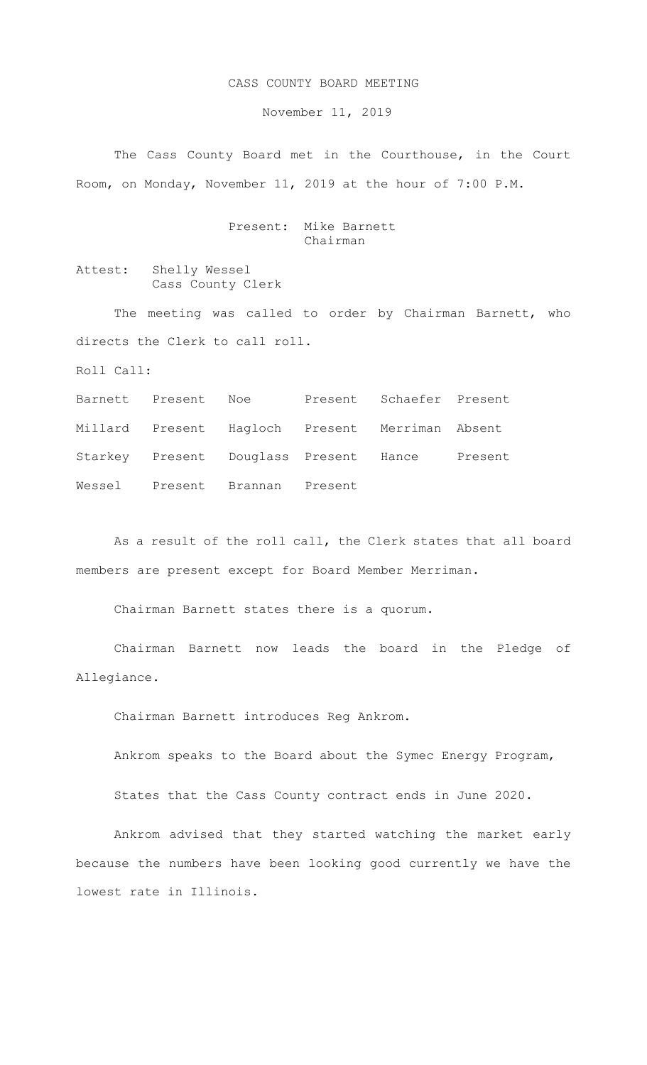## CASS COUNTY BOARD MEETING

November 11, 2019

The Cass County Board met in the Courthouse, in the Court Room, on Monday, November 11, 2019 at the hour of 7:00 P.M.

## Present: Mike Barnett Chairman

Attest: Shelly Wessel Cass County Clerk

The meeting was called to order by Chairman Barnett, who directs the Clerk to call roll.

Roll Call:

Barnett Present Noe Present Schaefer Present Millard Present Hagloch Present Merriman Absent Starkey Present Douglass Present Hance Present Wessel Present Brannan Present

As a result of the roll call, the Clerk states that all board members are present except for Board Member Merriman.

Chairman Barnett states there is a quorum.

Chairman Barnett now leads the board in the Pledge of Allegiance.

Chairman Barnett introduces Reg Ankrom.

Ankrom speaks to the Board about the Symec Energy Program,

States that the Cass County contract ends in June 2020.

Ankrom advised that they started watching the market early because the numbers have been looking good currently we have the lowest rate in Illinois.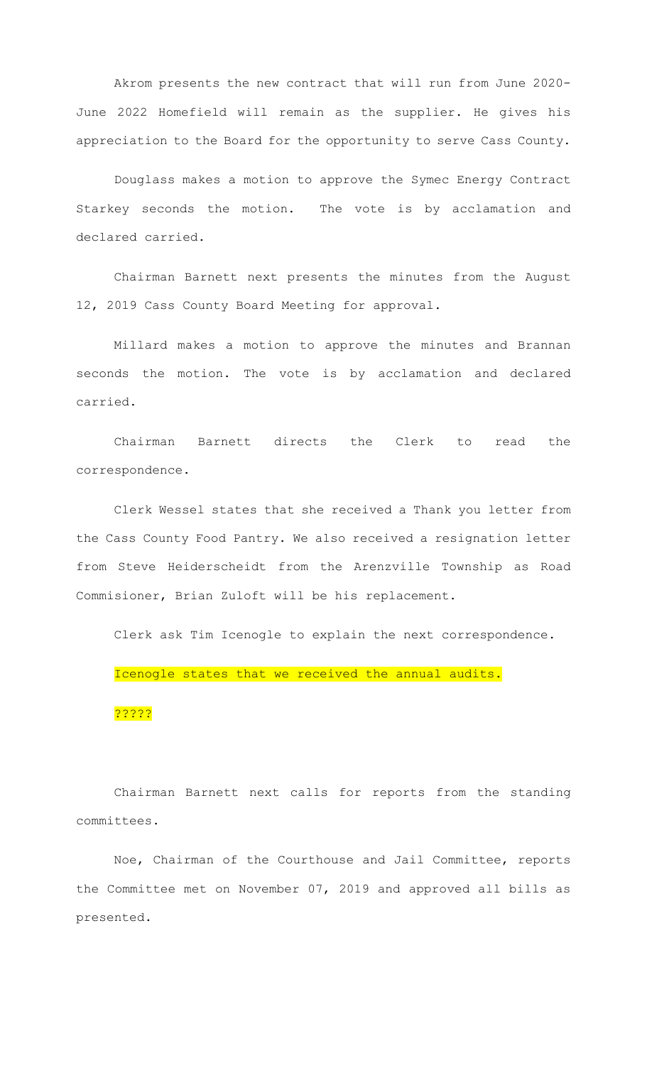Akrom presents the new contract that will run from June 2020- June 2022 Homefield will remain as the supplier. He gives his appreciation to the Board for the opportunity to serve Cass County.

Douglass makes a motion to approve the Symec Energy Contract Starkey seconds the motion. The vote is by acclamation and declared carried.

Chairman Barnett next presents the minutes from the August 12, 2019 Cass County Board Meeting for approval.

Millard makes a motion to approve the minutes and Brannan seconds the motion. The vote is by acclamation and declared carried.

Chairman Barnett directs the Clerk to read the correspondence.

Clerk Wessel states that she received a Thank you letter from the Cass County Food Pantry. We also received a resignation letter from Steve Heiderscheidt from the Arenzville Township as Road Commisioner, Brian Zuloft will be his replacement.

Clerk ask Tim Icenogle to explain the next correspondence. Icenogle states that we received the annual audits. ?????

Chairman Barnett next calls for reports from the standing committees.

Noe, Chairman of the Courthouse and Jail Committee, reports the Committee met on November 07, 2019 and approved all bills as presented.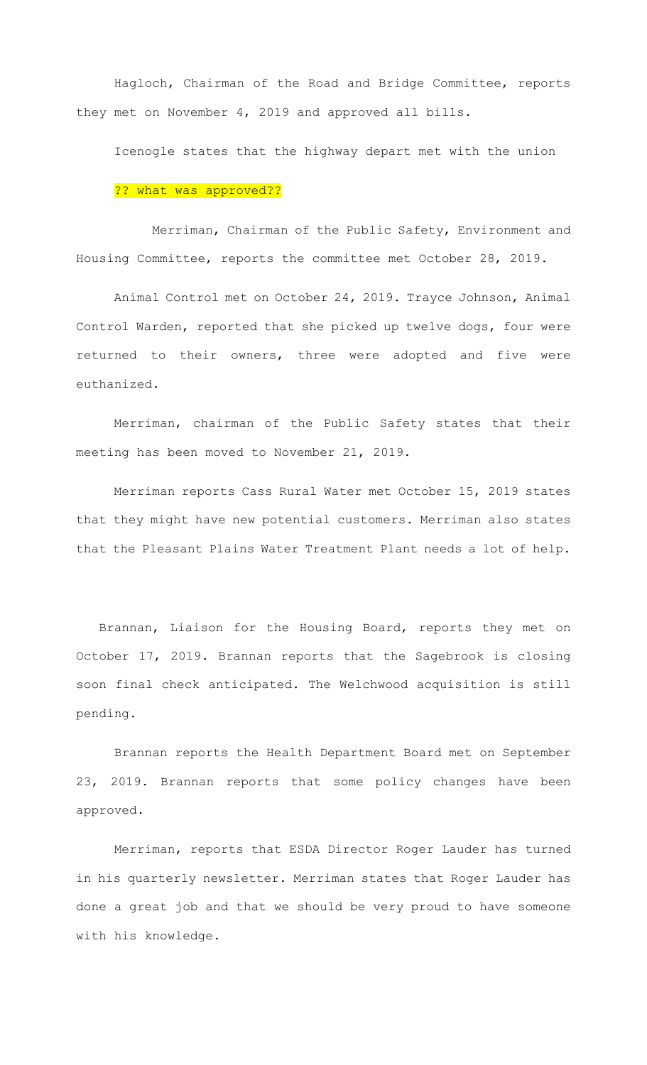Hagloch, Chairman of the Road and Bridge Committee, reports they met on November 4, 2019 and approved all bills.

Icenogle states that the highway depart met with the union

## ?? what was approved??

 Merriman, Chairman of the Public Safety, Environment and Housing Committee, reports the committee met October 28, 2019.

Animal Control met on October 24, 2019. Trayce Johnson, Animal Control Warden, reported that she picked up twelve dogs, four were returned to their owners, three were adopted and five were euthanized.

Merriman, chairman of the Public Safety states that their meeting has been moved to November 21, 2019.

Merriman reports Cass Rural Water met October 15, 2019 states that they might have new potential customers. Merriman also states that the Pleasant Plains Water Treatment Plant needs a lot of help.

 Brannan, Liaison for the Housing Board, reports they met on October 17, 2019. Brannan reports that the Sagebrook is closing soon final check anticipated. The Welchwood acquisition is still pending.

 Brannan reports the Health Department Board met on September 23, 2019. Brannan reports that some policy changes have been approved.

 Merriman, reports that ESDA Director Roger Lauder has turned in his quarterly newsletter. Merriman states that Roger Lauder has done a great job and that we should be very proud to have someone with his knowledge.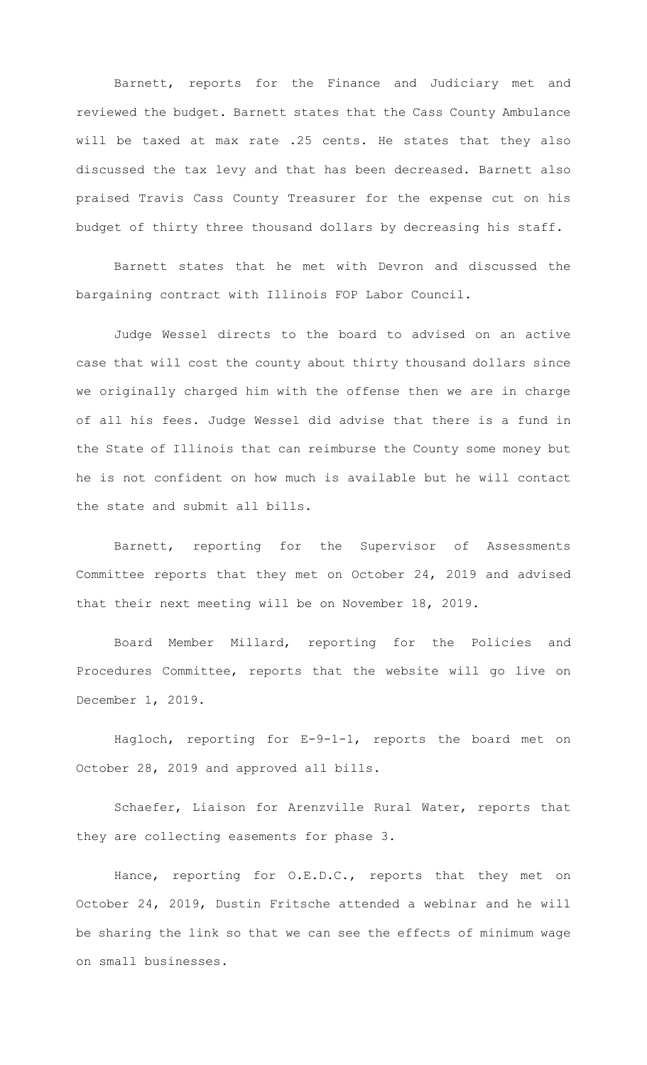Barnett, reports for the Finance and Judiciary met and reviewed the budget. Barnett states that the Cass County Ambulance will be taxed at max rate .25 cents. He states that they also discussed the tax levy and that has been decreased. Barnett also praised Travis Cass County Treasurer for the expense cut on his budget of thirty three thousand dollars by decreasing his staff.

Barnett states that he met with Devron and discussed the bargaining contract with Illinois FOP Labor Council.

Judge Wessel directs to the board to advised on an active case that will cost the county about thirty thousand dollars since we originally charged him with the offense then we are in charge of all his fees. Judge Wessel did advise that there is a fund in the State of Illinois that can reimburse the County some money but he is not confident on how much is available but he will contact the state and submit all bills.

Barnett, reporting for the Supervisor of Assessments Committee reports that they met on October 24, 2019 and advised that their next meeting will be on November 18, 2019.

Board Member Millard, reporting for the Policies and Procedures Committee, reports that the website will go live on December 1, 2019.

Hagloch, reporting for E-9-1-1, reports the board met on October 28, 2019 and approved all bills.

Schaefer, Liaison for Arenzville Rural Water, reports that they are collecting easements for phase 3.

Hance, reporting for O.E.D.C., reports that they met on October 24, 2019, Dustin Fritsche attended a webinar and he will be sharing the link so that we can see the effects of minimum wage on small businesses.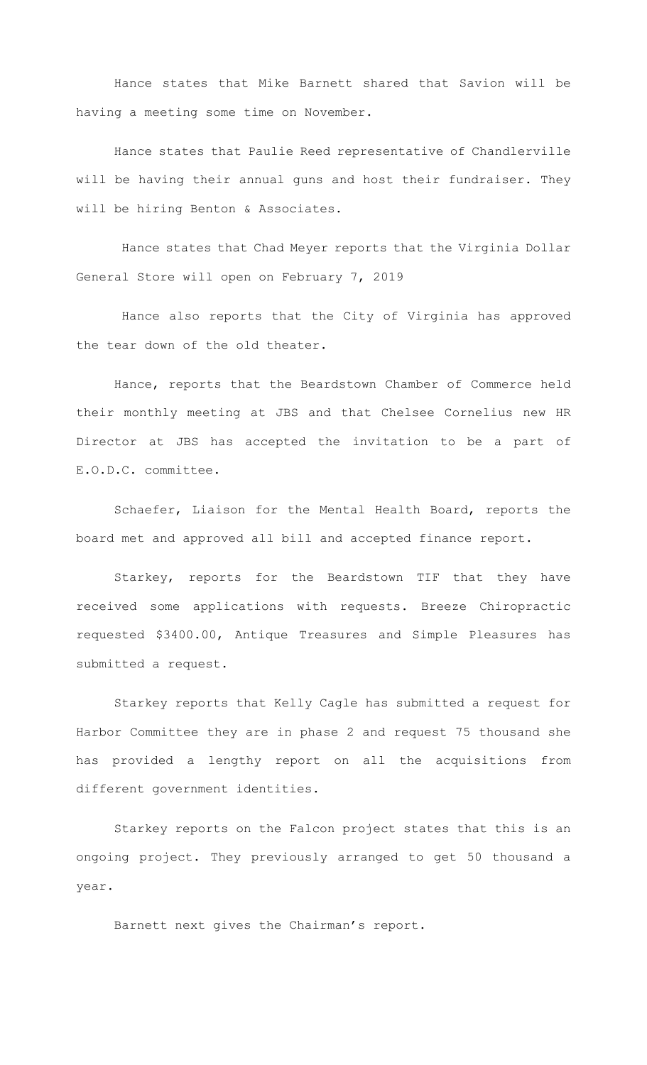Hance states that Mike Barnett shared that Savion will be having a meeting some time on November.

Hance states that Paulie Reed representative of Chandlerville will be having their annual guns and host their fundraiser. They will be hiring Benton & Associates.

 Hance states that Chad Meyer reports that the Virginia Dollar General Store will open on February 7, 2019

 Hance also reports that the City of Virginia has approved the tear down of the old theater.

Hance, reports that the Beardstown Chamber of Commerce held their monthly meeting at JBS and that Chelsee Cornelius new HR Director at JBS has accepted the invitation to be a part of E.O.D.C. committee.

Schaefer, Liaison for the Mental Health Board, reports the board met and approved all bill and accepted finance report.

Starkey, reports for the Beardstown TIF that they have received some applications with requests. Breeze Chiropractic requested \$3400.00, Antique Treasures and Simple Pleasures has submitted a request.

Starkey reports that Kelly Cagle has submitted a request for Harbor Committee they are in phase 2 and request 75 thousand she has provided a lengthy report on all the acquisitions from different government identities.

Starkey reports on the Falcon project states that this is an ongoing project. They previously arranged to get 50 thousand a year.

Barnett next gives the Chairman's report.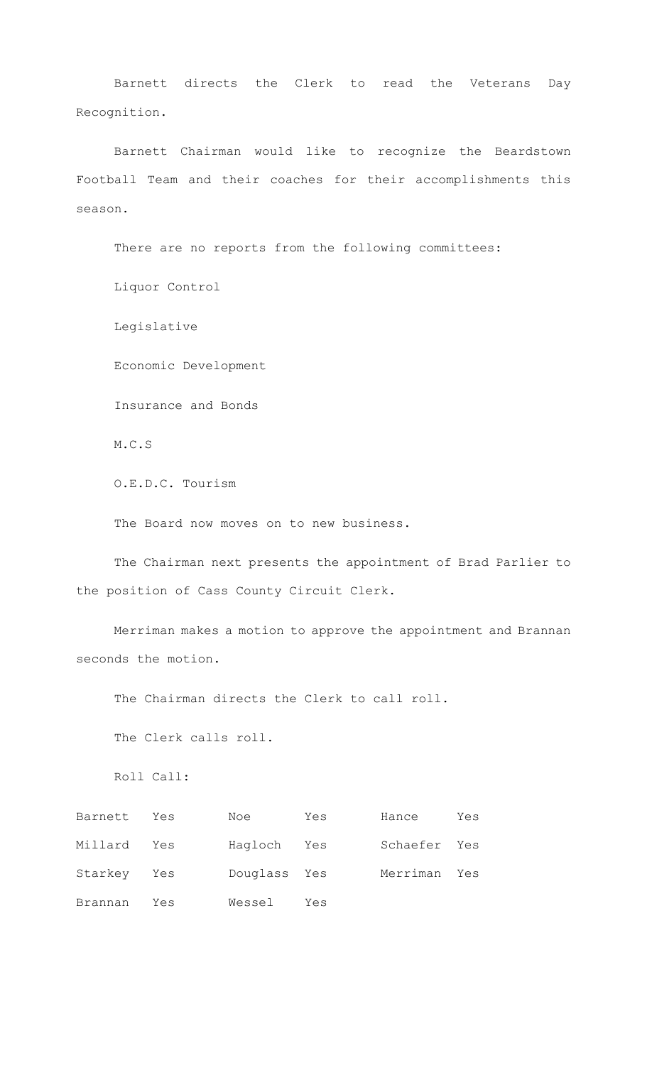Barnett directs the Clerk to read the Veterans Day Recognition.

Barnett Chairman would like to recognize the Beardstown Football Team and their coaches for their accomplishments this season.

There are no reports from the following committees: Liquor Control Legislative Economic Development Insurance and Bonds M.C.S O.E.D.C. Tourism The Board now moves on to new business. The Chairman next presents the appointment of Brad Parlier to the position of Cass County Circuit Clerk. Merriman makes a motion to approve the appointment and Brannan

seconds the motion.

The Chairman directs the Clerk to call roll.

The Clerk calls roll.

Roll Call:

| Barnett     | Yes | Noe          | Yes | Hance        | Yes |
|-------------|-----|--------------|-----|--------------|-----|
| Millard     | Yes | Hagloch Yes  |     | Schaefer Yes |     |
| Starkey Yes |     | Douglass Yes |     | Merriman Yes |     |
| Brannan     | Yes | Wessel       | Yes |              |     |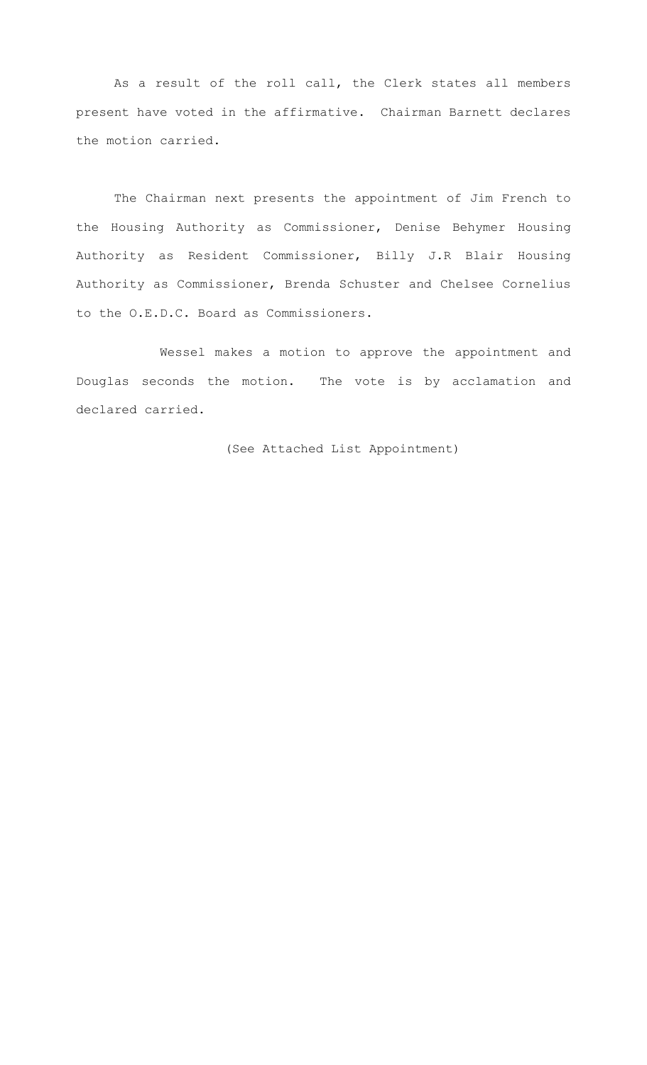As a result of the roll call, the Clerk states all members present have voted in the affirmative. Chairman Barnett declares the motion carried.

The Chairman next presents the appointment of Jim French to the Housing Authority as Commissioner, Denise Behymer Housing Authority as Resident Commissioner, Billy J.R Blair Housing Authority as Commissioner, Brenda Schuster and Chelsee Cornelius to the O.E.D.C. Board as Commissioners.

 Wessel makes a motion to approve the appointment and Douglas seconds the motion. The vote is by acclamation and declared carried.

(See Attached List Appointment)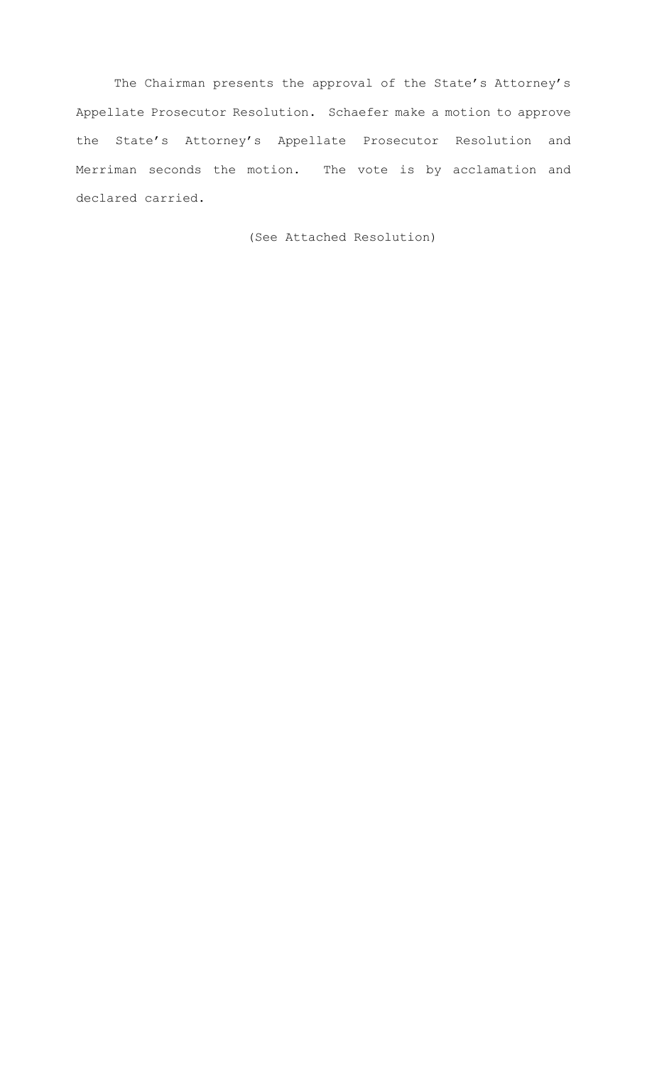The Chairman presents the approval of the State's Attorney's Appellate Prosecutor Resolution. Schaefer make a motion to approve the State's Attorney's Appellate Prosecutor Resolution and Merriman seconds the motion. The vote is by acclamation and declared carried.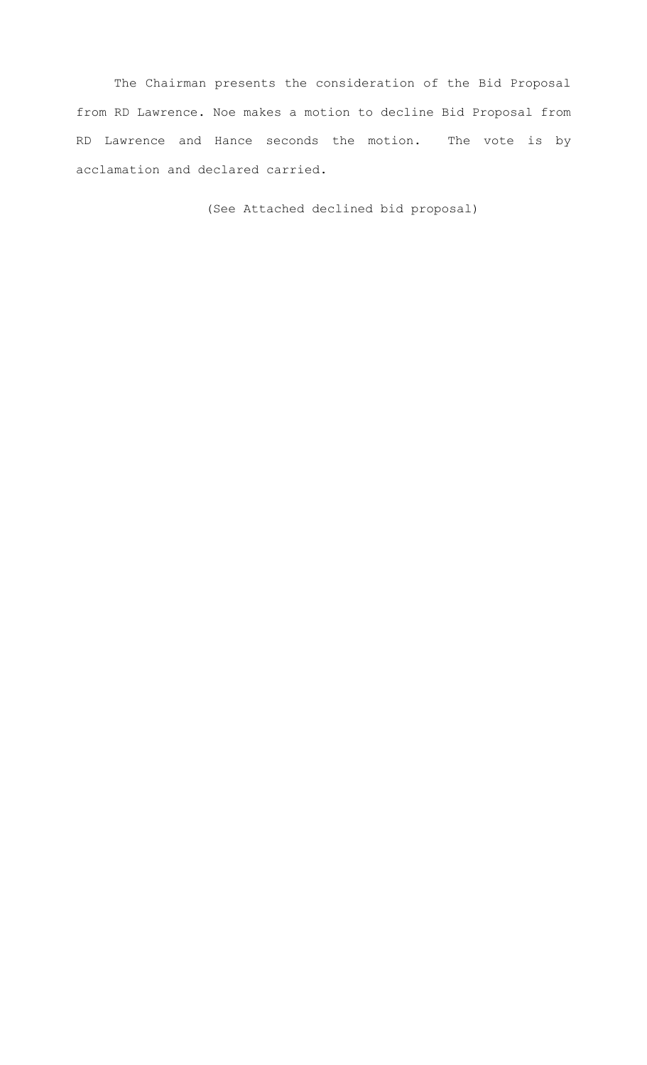The Chairman presents the consideration of the Bid Proposal from RD Lawrence. Noe makes a motion to decline Bid Proposal from RD Lawrence and Hance seconds the motion. The vote is by acclamation and declared carried.

(See Attached declined bid proposal)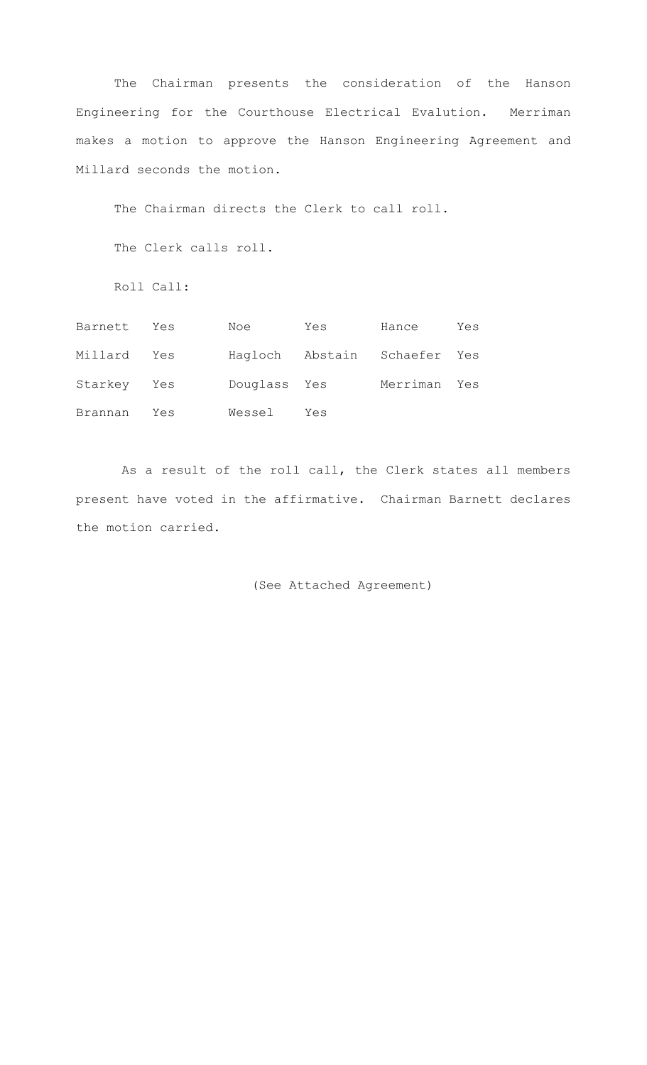The Chairman presents the consideration of the Hanson Engineering for the Courthouse Electrical Evalution. Merriman makes a motion to approve the Hanson Engineering Agreement and Millard seconds the motion.

The Chairman directs the Clerk to call roll.

The Clerk calls roll.

Roll Call:

| Barnett     | Yes | Noe          | Yes | Hance                        | Yes |
|-------------|-----|--------------|-----|------------------------------|-----|
| Millard Yes |     |              |     | Hagloch Abstain Schaefer Yes |     |
| Starkey Yes |     | Douglass Yes |     | Merriman Yes                 |     |
| Brannan     | Yes | Wessel       | Yes |                              |     |

 As a result of the roll call, the Clerk states all members present have voted in the affirmative. Chairman Barnett declares the motion carried.

(See Attached Agreement)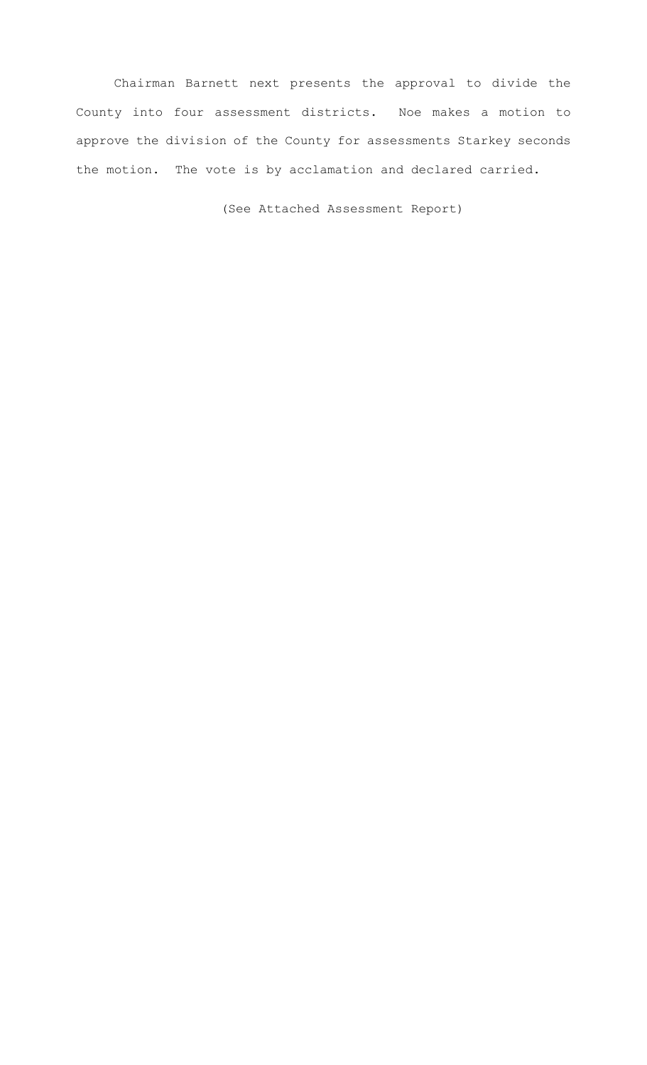Chairman Barnett next presents the approval to divide the County into four assessment districts. Noe makes a motion to approve the division of the County for assessments Starkey seconds the motion. The vote is by acclamation and declared carried.

(See Attached Assessment Report)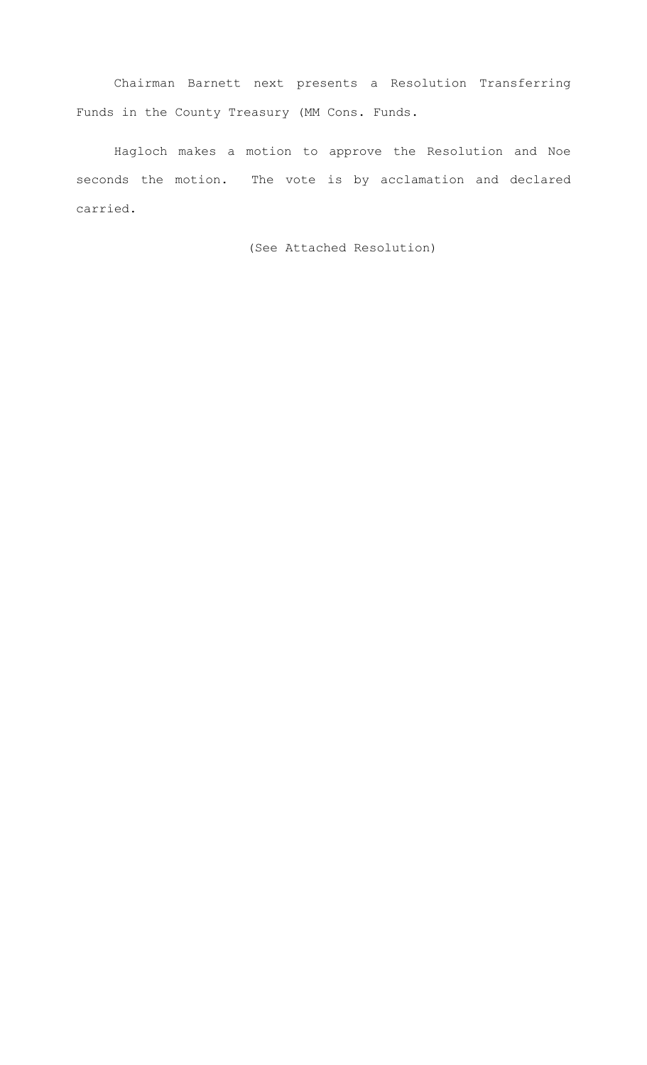Chairman Barnett next presents a Resolution Transferring Funds in the County Treasury (MM Cons. Funds.

Hagloch makes a motion to approve the Resolution and Noe seconds the motion. The vote is by acclamation and declared carried.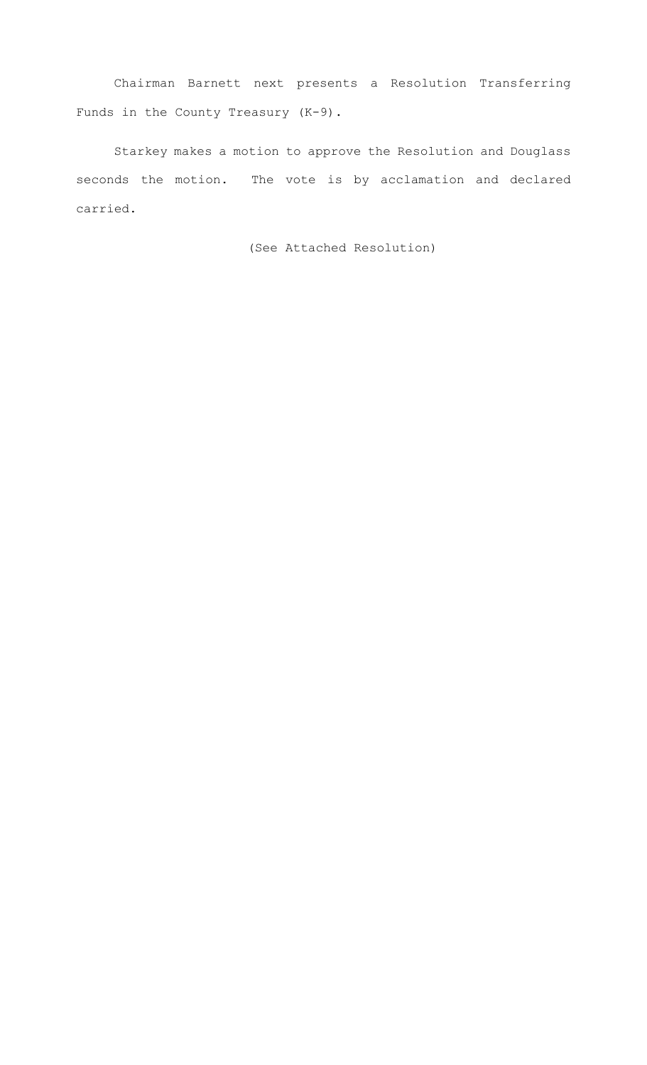Chairman Barnett next presents a Resolution Transferring Funds in the County Treasury (K-9).

Starkey makes a motion to approve the Resolution and Douglass seconds the motion. The vote is by acclamation and declared carried.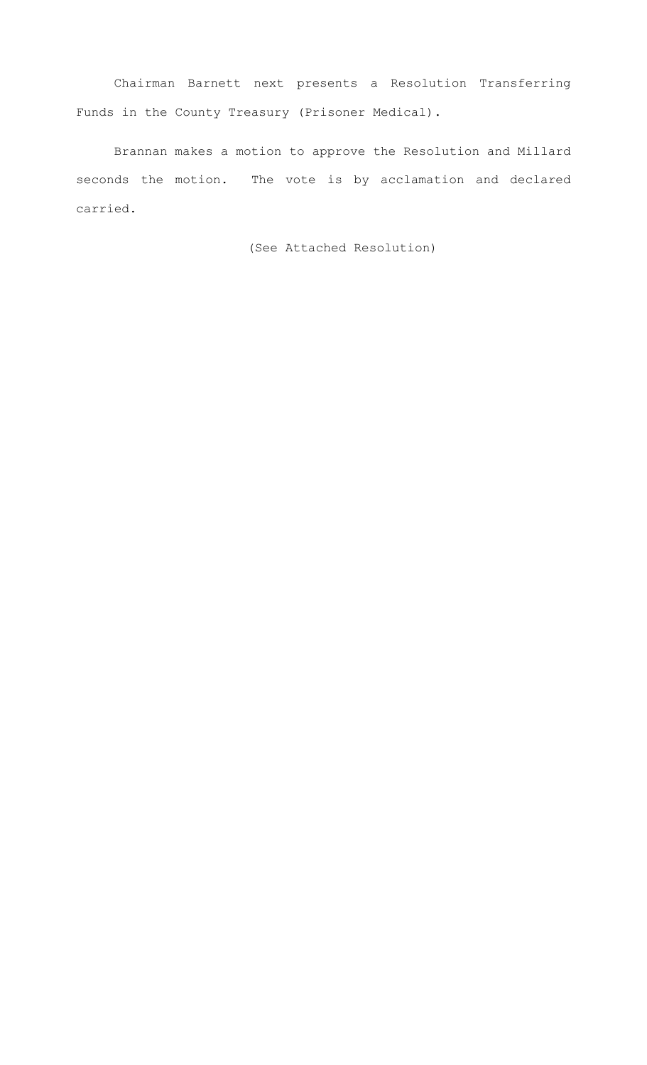Chairman Barnett next presents a Resolution Transferring Funds in the County Treasury (Prisoner Medical).

Brannan makes a motion to approve the Resolution and Millard seconds the motion. The vote is by acclamation and declared carried.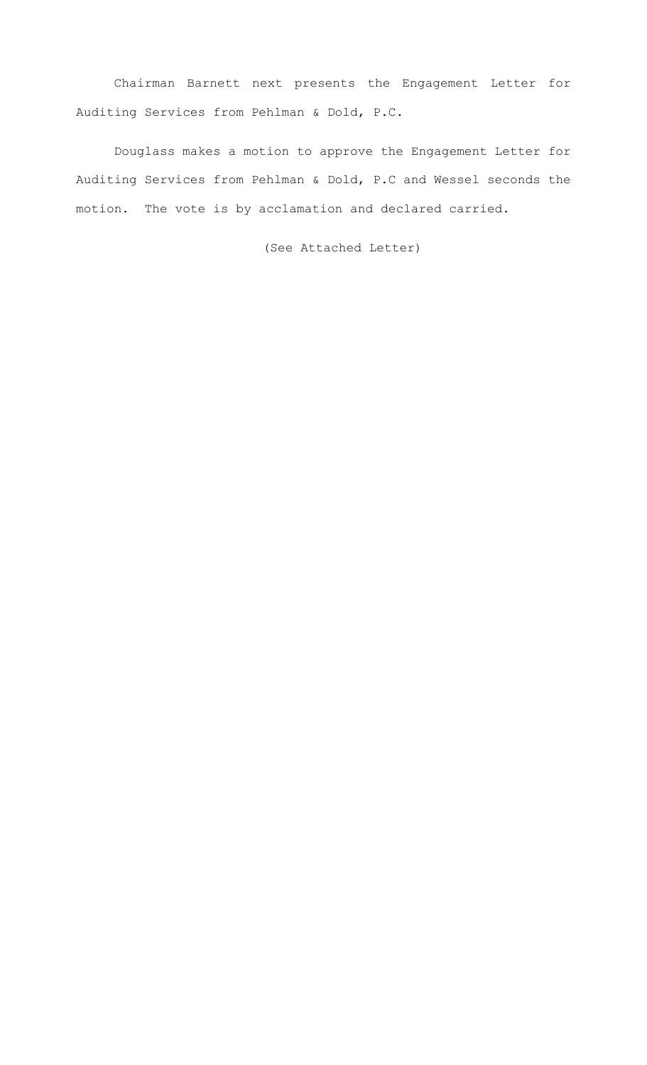Chairman Barnett next presents the Engagement Letter for Auditing Services from Pehlman & Dold, P.C.

Douglass makes a motion to approve the Engagement Letter for Auditing Services from Pehlman & Dold, P.C and Wessel seconds the motion. The vote is by acclamation and declared carried.

(See Attached Letter)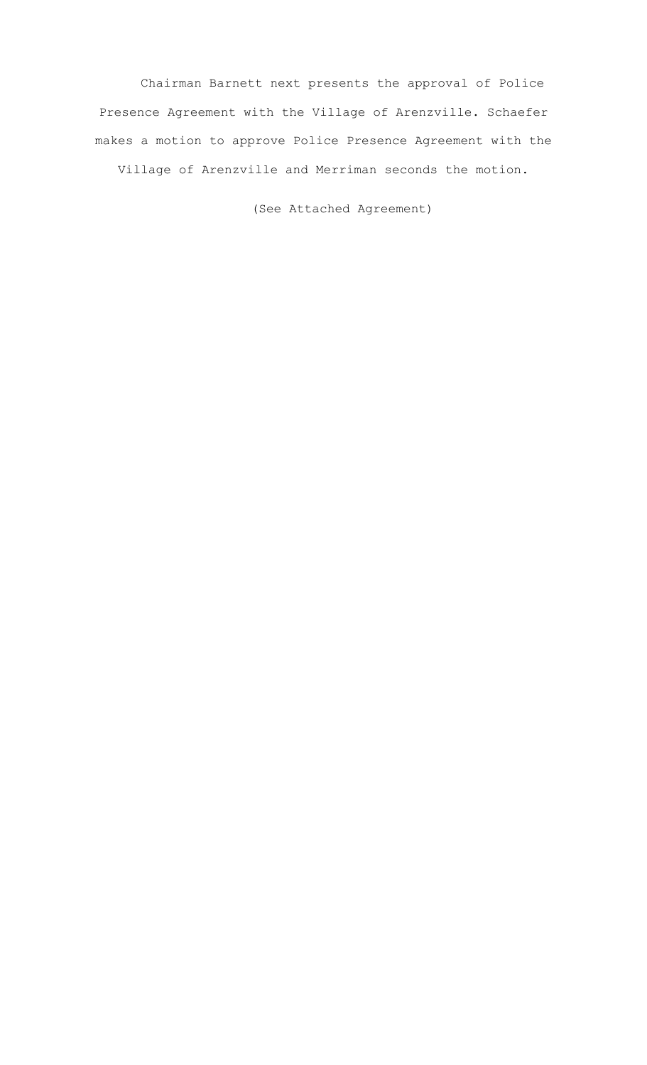Chairman Barnett next presents the approval of Police Presence Agreement with the Village of Arenzville. Schaefer makes a motion to approve Police Presence Agreement with the Village of Arenzville and Merriman seconds the motion.

(See Attached Agreement)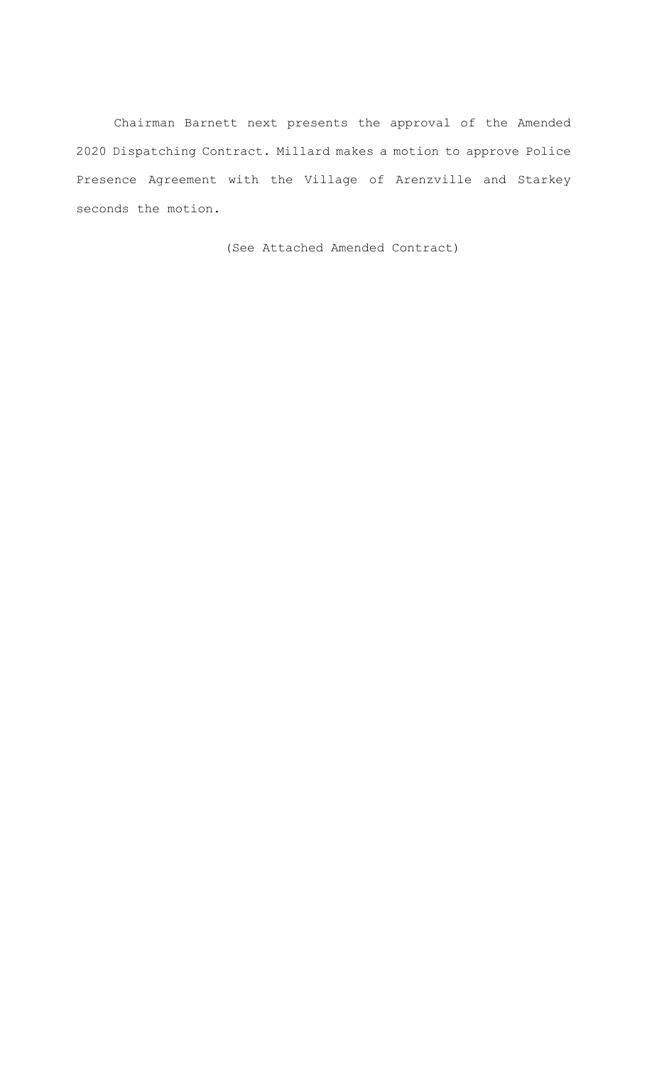Chairman Barnett next presents the approval of the Amended 2020 Dispatching Contract. Millard makes a motion to approve Police Presence Agreement with the Village of Arenzville and Starkey seconds the motion.

(See Attached Amended Contract)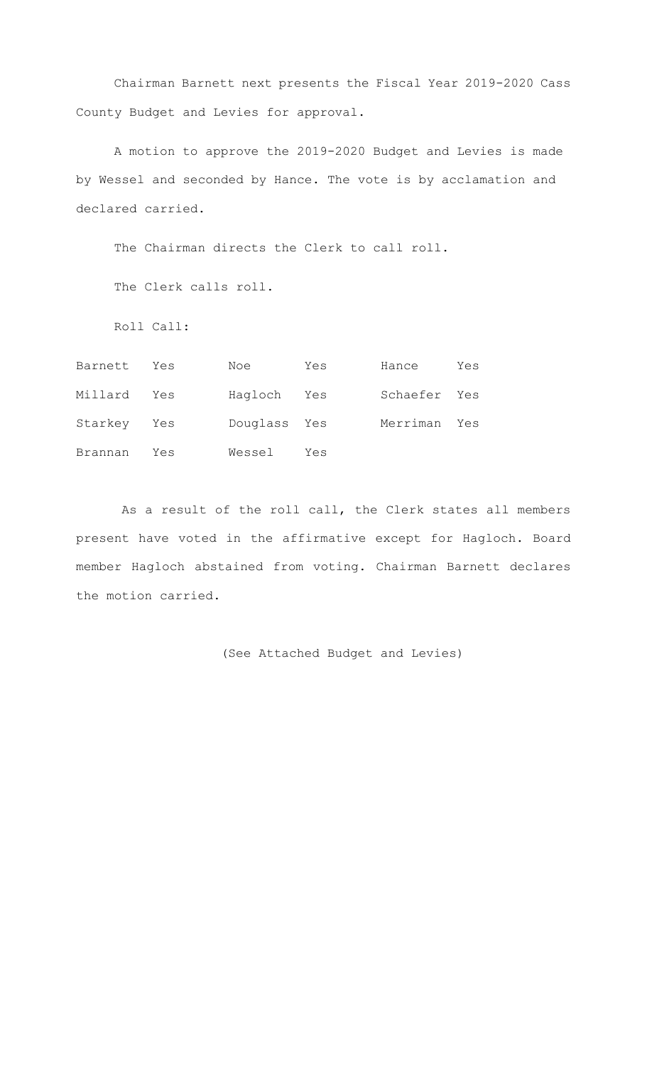Chairman Barnett next presents the Fiscal Year 2019-2020 Cass County Budget and Levies for approval.

A motion to approve the 2019-2020 Budget and Levies is made by Wessel and seconded by Hance. The vote is by acclamation and declared carried.

The Chairman directs the Clerk to call roll.

The Clerk calls roll.

Roll Call:

| Barnett     | Yes | Noe          | Yes | Hance        | Yes |
|-------------|-----|--------------|-----|--------------|-----|
| Millard     | Yes | Hagloch      | Yes | Schaefer Yes |     |
| Starkey Yes |     | Douglass Yes |     | Merriman Yes |     |
| Brannan     | Yes | Wessel       | Yes |              |     |

 As a result of the roll call, the Clerk states all members present have voted in the affirmative except for Hagloch. Board member Hagloch abstained from voting. Chairman Barnett declares the motion carried.

(See Attached Budget and Levies)